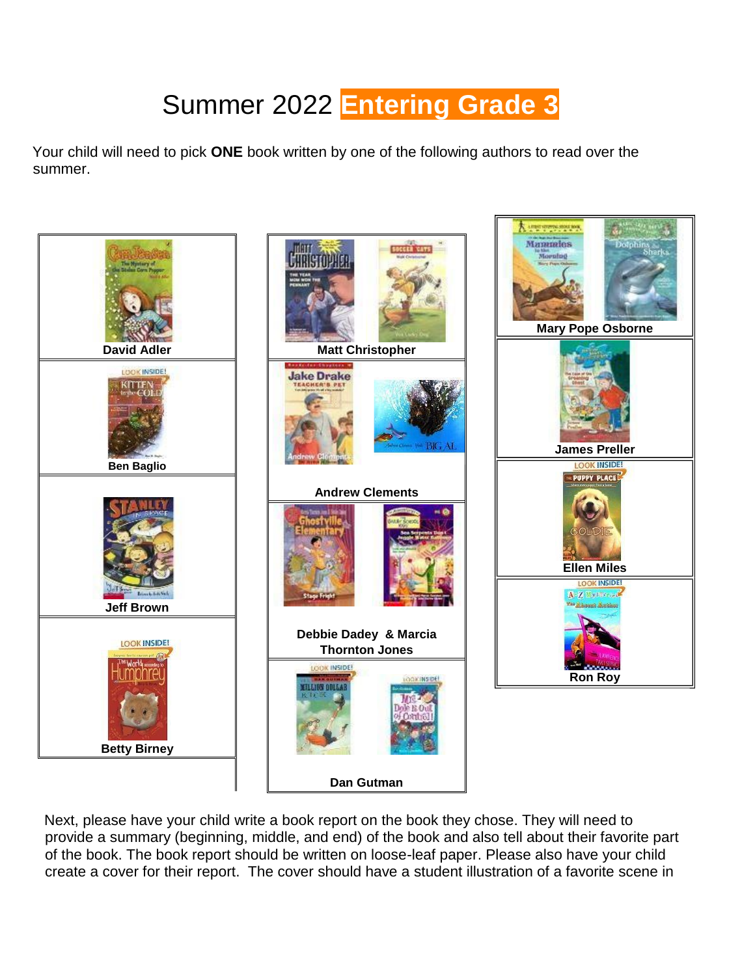## Summer 202[2](http://www.scholastic.com/bookfairs/teachers/connections/grade3.asp) **[Entering](http://www.scholastic.com/bookfairs/teachers/connections/grade3.asp) [Grade 3](http://www.scholastic.com/bookfairs/teachers/connections/grade3.asp)**

Your child will need to pick **ONE** book written by one of the following authors to read over the summer.



Next, please have your child write a book report on the book they chose. They will need to provide a summary (beginning, middle, and end) of the book and also tell about their favorite part of the book. The book report should be written on loose-leaf paper. Please also have your child create a cover for their report. The cover should have a student illustration of a favorite scene in